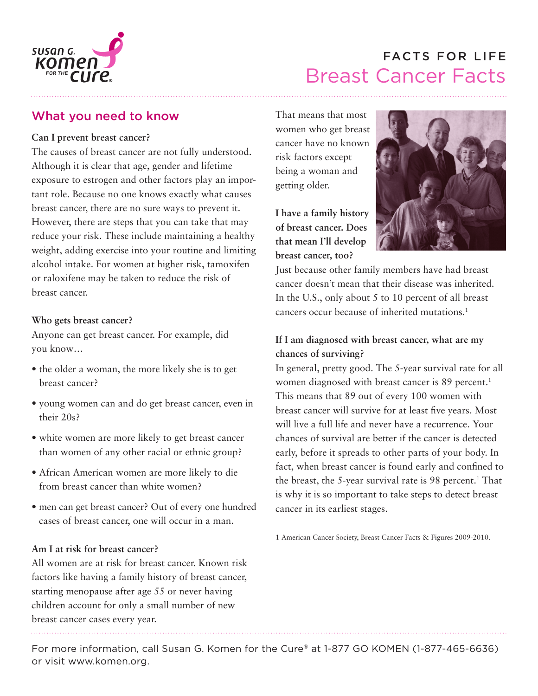

# Breast Cancer Facts FACTS FOR LIFE

# What you need to know

### **Can I prevent breast cancer?**

The causes of breast cancer are not fully understood. Although it is clear that age, gender and lifetime exposure to estrogen and other factors play an important role. Because no one knows exactly what causes breast cancer, there are no sure ways to prevent it. However, there are steps that you can take that may reduce your risk. These include maintaining a healthy weight, adding exercise into your routine and limiting alcohol intake. For women at higher risk, tamoxifen or raloxifene may be taken to reduce the risk of breast cancer.

### **Who gets breast cancer?**

Anyone can get breast cancer. For example, did you know…

- the older a woman, the more likely she is to get breast cancer?
- young women can and do get breast cancer, even in their 20s?
- white women are more likely to get breast cancer than women of any other racial or ethnic group?
- African American women are more likely to die from breast cancer than white women?
- men can get breast cancer? Out of every one hundred cases of breast cancer, one will occur in a man.

#### **Am I at risk for breast cancer?**

All women are at risk for breast cancer. Known risk factors like having a family history of breast cancer, starting menopause after age 55 or never having children account for only a small number of new breast cancer cases every year.

That means that most women who get breast cancer have no known risk factors except being a woman and getting older.

**I have a family history of breast cancer. Does that mean I'll develop breast cancer, too?**



Just because other family members have had breast cancer doesn't mean that their disease was inherited. In the U.S., only about 5 to 10 percent of all breast cancers occur because of inherited mutations.1

### **If I am diagnosed with breast cancer, what are my chances of surviving?**

In general, pretty good. The 5-year survival rate for all women diagnosed with breast cancer is 89 percent.<sup>1</sup> This means that 89 out of every 100 women with breast cancer will survive for at least five years. Most will live a full life and never have a recurrence. Your chances of survival are better if the cancer is detected early, before it spreads to other parts of your body. In fact, when breast cancer is found early and confined to the breast, the 5-year survival rate is  $98$  percent.<sup>1</sup> That is why it is so important to take steps to detect breast cancer in its earliest stages.

1 American Cancer Society, Breast Cancer Facts & Figures 2009-2010.

For more information, call Susan G. Komen for the Cure® at 1-877 GO KOMEN (1-877-465-6636) or visit www.komen.org.